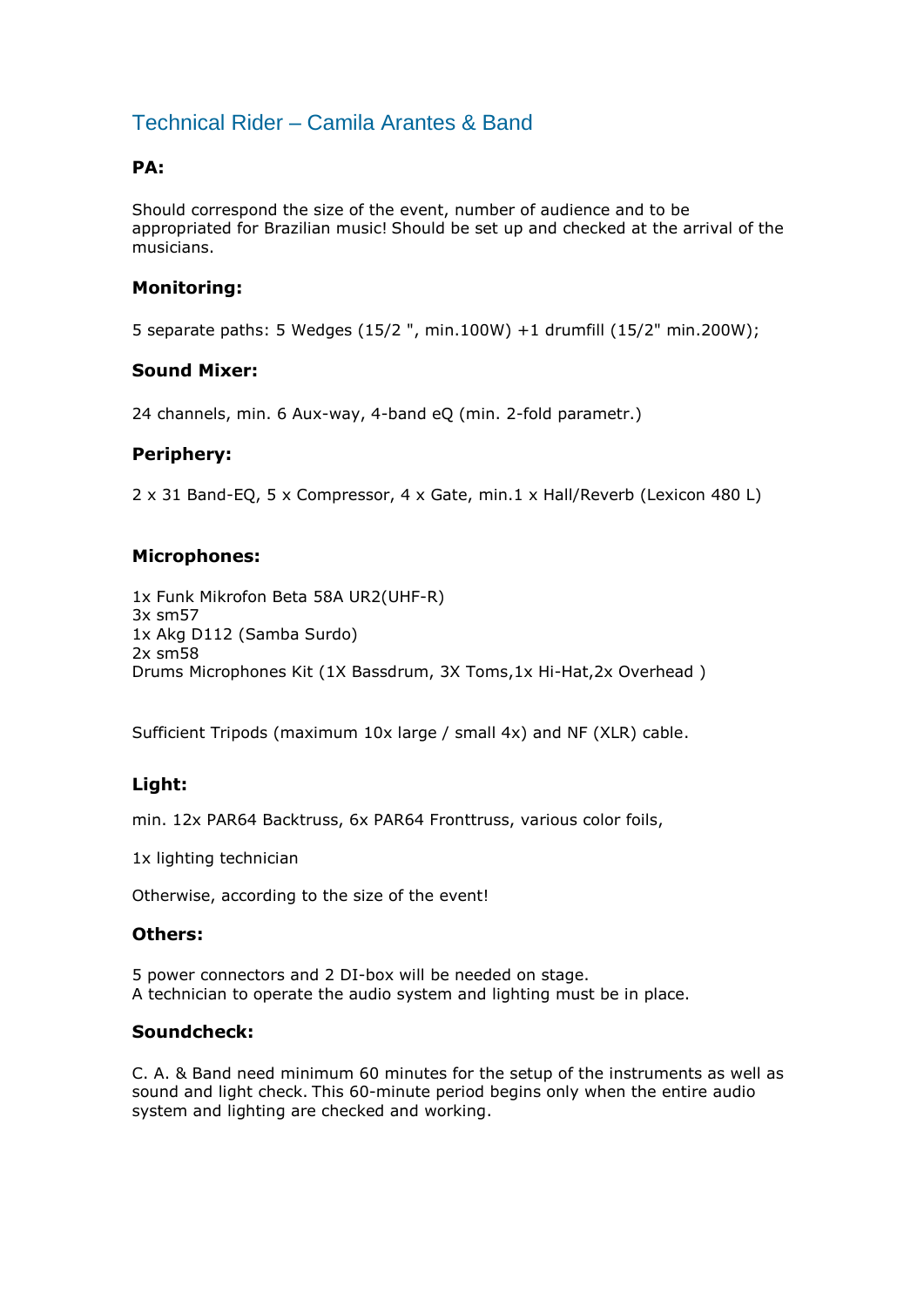## Technical Rider – Camila Arantes & Band

## **PA:**

Should correspond the size of the event, number of audience and to be appropriated for Brazilian music! Should be set up and checked at the arrival of the musicians.

### **Monitoring:**

5 separate paths: 5 Wedges (15/2 ", min.100W) +1 drumfill (15/2" min.200W);

#### **Sound Mixer:**

24 channels, min. 6 Aux-way, 4-band eQ (min. 2-fold parametr.)

#### **Periphery:**

2 x 31 Band-EQ, 5 x Compressor, 4 x Gate, min.1 x Hall/Reverb (Lexicon 480 L)

#### **Microphones:**

1x Funk Mikrofon Beta 58A UR2(UHF-R) 3x sm57 1x Akg D112 (Samba Surdo) 2x sm58 Drums Microphones Kit (1X Bassdrum, 3X Toms,1x Hi-Hat,2x Overhead )

Sufficient Tripods (maximum 10x large / small 4x) and NF (XLR) cable.

## **Light:**

min. 12x PAR64 Backtruss, 6x PAR64 Fronttruss, various color foils,

1x lighting technician

Otherwise, according to the size of the event!

#### **Others:**

5 power connectors and 2 DI-box will be needed on stage. A technician to operate the audio system and lighting must be in place.

#### **Soundcheck:**

C. A. & Band need minimum 60 minutes for the setup of the instruments as well as sound and light check. This 60-minute period begins only when the entire audio system and lighting are checked and working.